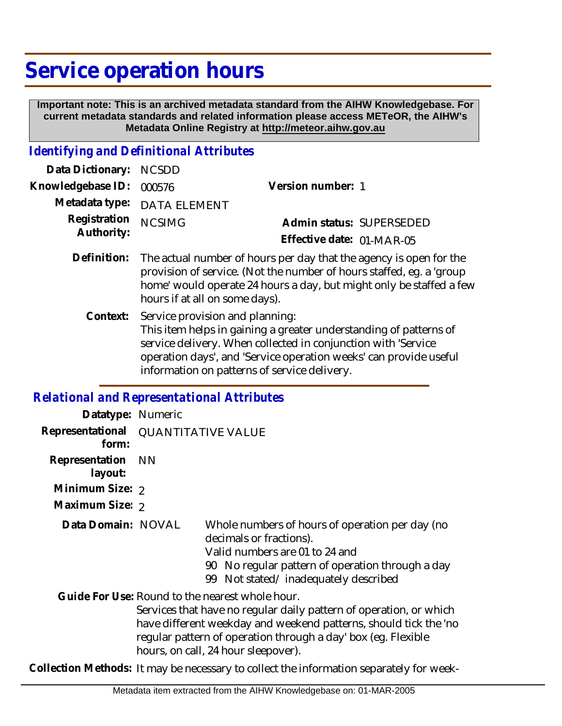# **Service operation hours**

 **Important note: This is an archived metadata standard from the AIHW Knowledgebase. For current metadata standards and related information please access METeOR, the AIHW's Metadata Online Registry at http://meteor.aihw.gov.au**

#### *Identifying and Definitional Attributes*

| Data Dictionary: NCSDD   |                             |                           |  |
|--------------------------|-----------------------------|---------------------------|--|
| Knowledgebase ID: 000576 |                             | Version number: 1         |  |
|                          | Metadata type: DATA ELEMENT |                           |  |
| Registration NCSIMG      |                             | Admin status: SUPERSEDED  |  |
| Authority:               |                             | Effective date: 01-MAR-05 |  |
|                          |                             |                           |  |

- Definition: The actual number of hours per day that the agency is open for the provision of service. (Not the number of hours staffed, eg. a 'group home' would operate 24 hours a day, but might only be staffed a few hours if at all on some days).
	- Service provision and planning: This item helps in gaining a greater understanding of patterns of service delivery. When collected in conjunction with 'Service operation days', and 'Service operation weeks' can provide useful information on patterns of service delivery. **Context:**

#### *Relational and Representational Attributes*

| Datatype: Numeric                            |      |                                                                                                                                                                                                                                                                                                   |
|----------------------------------------------|------|---------------------------------------------------------------------------------------------------------------------------------------------------------------------------------------------------------------------------------------------------------------------------------------------------|
| Representational QUANTITATIVE VALUE<br>form: |      |                                                                                                                                                                                                                                                                                                   |
| Representation<br>layout:                    | - NN |                                                                                                                                                                                                                                                                                                   |
| Minimum Size: 2                              |      |                                                                                                                                                                                                                                                                                                   |
| Maximum Size: 2                              |      |                                                                                                                                                                                                                                                                                                   |
| Data Domain: NOVAL                           |      | Whole numbers of hours of operation per day (no<br>decimals or fractions).<br>Valid numbers are 01 to 24 and<br>No regular pattern of operation through a day<br>90<br>Not stated/inadequately described<br>99                                                                                    |
|                                              |      | Guide For Use: Round to the nearest whole hour.<br>Services that have no regular daily pattern of operation, or which<br>have different weekday and weekend patterns, should tick the 'no<br>regular pattern of operation through a day' box (eg. Flexible<br>hours, on call, 24 hour sleepover). |

**Collection Methods:** It may be necessary to collect the information separately for week-